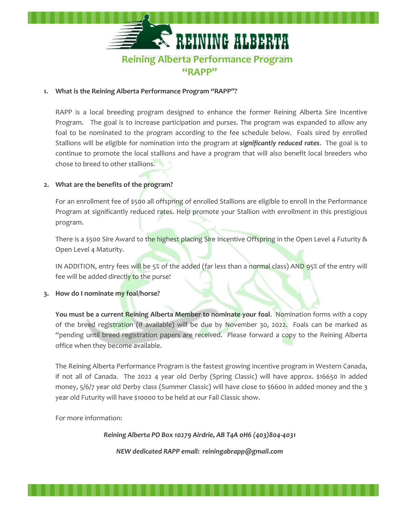

## **1. What is the Reining Alberta Performance Program "RAPP"?**

RAPP is a local breeding program designed to enhance the former Reining Alberta Sire Incentive Program. The goal is to increase participation and purses. The program was expanded to allow any foal to be nominated to the program according to the fee schedule below. Foals sired by enrolled Stallions will be eligible for nomination into the program at *significantly reduced rates*. The goal is to continue to promote the local stallions and have a program that will also benefit local breeders who chose to breed to other stallions.

## **2. What are the benefits of the program?**

For an enrollment fee of \$500 all offspring of enrolled Stallions are eligible to enroll in the Performance Program at significantly reduced rates. Help promote your Stallion with enrollment in this prestigious program.

There is a \$500 Sire Award to the highest placing Sire Incentive Offspring in the Open Level 4 Futurity & Open Level 4 Maturity.

IN ADDITION, entry fees will be 5% of the added (far less than a normal class) AND 95% of the entry will fee will be added directly to the purse!

## **3. How do I nominate my foal/horse?**

**You must be a current Reining Alberta Member to nominate your foal**. Nomination forms with a copy of the breed registration (if available) will be due by November 30, 2022. Foals can be marked as "pending until breed registration papers are received. Please forward a copy to the Reining Alberta office when they become available.

The Reining Alberta Performance Program is the fastest growing incentive program in Western Canada, if not all of Canada. The 2022 4 year old Derby (Spring Classic) will have approx. \$16650 in added money, 5/6/7 year old Derby class (Summer Classic) will have close to \$6600 in added money and the 3 year old Futurity will have \$10000 to be held at our Fall Classic show.

For more information:

*Reining Alberta PO Box 10279 Airdrie, AB T4A 0H6 (403)804-4031*

*NEW dedicated RAPP email: reiningabrapp@gmail.com*